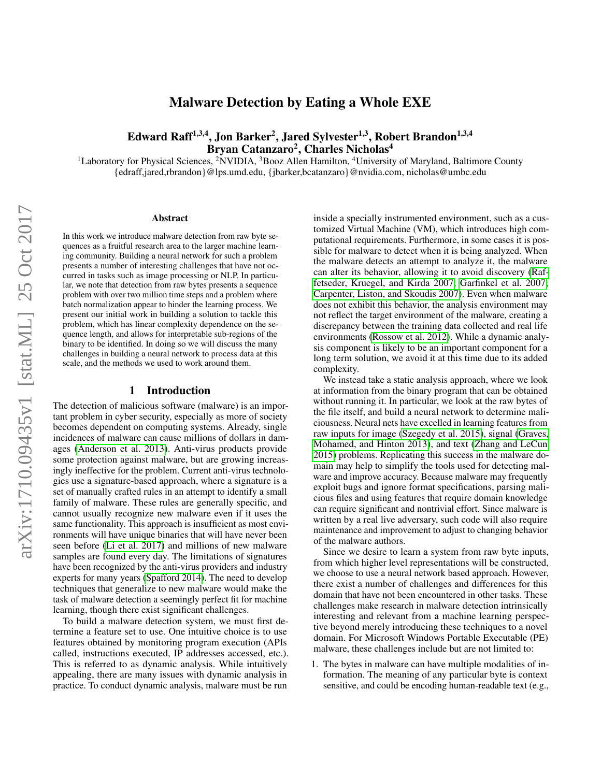# Malware Detection by Eating a Whole EXE

# Edward Raff<sup>1,3,4</sup>, Jon Barker<sup>2</sup>, Jared Sylvester<sup>1,3</sup>, Robert Brandon<sup>1,3,4</sup> Bryan Catanzaro<sup>2</sup>, Charles Nicholas<sup>4</sup>

<sup>1</sup>Laboratory for Physical Sciences, <sup>2</sup>NVIDIA, <sup>3</sup>Booz Allen Hamilton, <sup>4</sup>University of Maryland, Baltimore County {edraff,jared,rbrandon}@lps.umd.edu, {jbarker,bcatanzaro}@nvidia.com, nicholas@umbc.edu

#### Abstract

In this work we introduce malware detection from raw byte sequences as a fruitful research area to the larger machine learning community. Building a neural network for such a problem presents a number of interesting challenges that have not occurred in tasks such as image processing or NLP. In particular, we note that detection from raw bytes presents a sequence problem with over two million time steps and a problem where batch normalization appear to hinder the learning process. We present our initial work in building a solution to tackle this problem, which has linear complexity dependence on the sequence length, and allows for interpretable sub-regions of the binary to be identified. In doing so we will discuss the many challenges in building a neural network to process data at this scale, and the methods we used to work around them.

#### 1 Introduction

The detection of malicious software (malware) is an important problem in cyber security, especially as more of society becomes dependent on computing systems. Already, single incidences of malware can cause millions of dollars in damages [\(Anderson et al.](#page-11-0) 2013). Anti-virus products provide some protection against malware, but are growing increasingly ineffective for the problem. Current anti-virus technologies use a signature-based approach, where a signature is a set of manually crafted rules in an attempt to identify a small family of malware. These rules are generally specific, and cannot usually recognize new malware even if it uses the same functionality. This approach is insufficient as most environments will have unique binaries that will have never been seen before [\(Li et al.](#page-11-1) 2017) and millions of new malware samples are found every day. The limitations of signatures have been recognized by the anti-virus providers and industry experts for many years [\(Spafford 2014\)](#page-12-0). The need to develop techniques that generalize to new malware would make the task of malware detection a seemingly perfect fit for machine learning, though there exist significant challenges.

To build a malware detection system, we must first determine a feature set to use. One intuitive choice is to use features obtained by monitoring program execution (APIs called, instructions executed, IP addresses accessed, etc.). This is referred to as dynamic analysis. While intuitively appealing, there are many issues with dynamic analysis in practice. To conduct dynamic analysis, malware must be run

inside a specially instrumented environment, such as a customized Virtual Machine (VM), which introduces high computational requirements. Furthermore, in some cases it is possible for malware to detect when it is being analyzed. When the malware detects an attempt to analyze it, the malware can alter its behavior, allowing it to avoid discovery [\(Raf](#page-12-1)[fetseder, Kruegel, and Kirda 2007;](#page-12-1) [Garfinkel et al.](#page-11-2) 2007; [Carpenter, Liston, and Skoudis 2007\)](#page-11-3). Even when malware does not exhibit this behavior, the analysis environment may not reflect the target environment of the malware, creating a discrepancy between the training data collected and real life environments [\(Rossow et al.](#page-12-2) 2012). While a dynamic analysis component is likely to be an important component for a long term solution, we avoid it at this time due to its added complexity.

We instead take a static analysis approach, where we look at information from the binary program that can be obtained without running it. In particular, we look at the raw bytes of the file itself, and build a neural network to determine maliciousness. Neural nets have excelled in learning features from raw inputs for image [\(Szegedy et al.](#page-12-3) 2015), signal [\(Graves,](#page-11-4) [Mohamed, and Hinton 2013\)](#page-11-4), and text [\(Zhang and LeCun](#page-12-4) [2015\)](#page-12-4) problems. Replicating this success in the malware domain may help to simplify the tools used for detecting malware and improve accuracy. Because malware may frequently exploit bugs and ignore format specifications, parsing malicious files and using features that require domain knowledge can require significant and nontrivial effort. Since malware is written by a real live adversary, such code will also require maintenance and improvement to adjust to changing behavior of the malware authors.

Since we desire to learn a system from raw byte inputs, from which higher level representations will be constructed, we choose to use a neural network based approach. However, there exist a number of challenges and differences for this domain that have not been encountered in other tasks. These challenges make research in malware detection intrinsically interesting and relevant from a machine learning perspective beyond merely introducing these techniques to a novel domain. For Microsoft Windows Portable Executable (PE) malware, these challenges include but are not limited to:

1. The bytes in malware can have multiple modalities of information. The meaning of any particular byte is context sensitive, and could be encoding human-readable text (e.g.,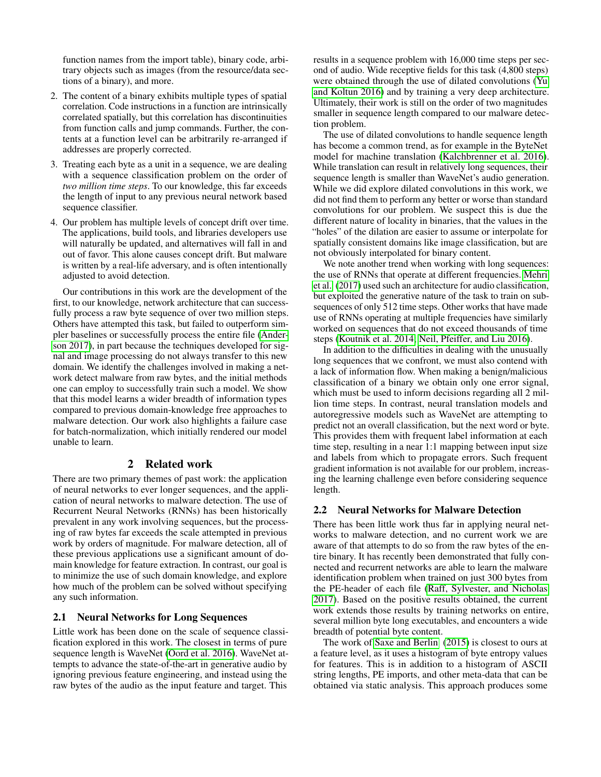function names from the import table), binary code, arbitrary objects such as images (from the resource/data sections of a binary), and more.

- 2. The content of a binary exhibits multiple types of spatial correlation. Code instructions in a function are intrinsically correlated spatially, but this correlation has discontinuities from function calls and jump commands. Further, the contents at a function level can be arbitrarily re-arranged if addresses are properly corrected.
- 3. Treating each byte as a unit in a sequence, we are dealing with a sequence classification problem on the order of *two million time steps*. To our knowledge, this far exceeds the length of input to any previous neural network based sequence classifier.
- 4. Our problem has multiple levels of concept drift over time. The applications, build tools, and libraries developers use will naturally be updated, and alternatives will fall in and out of favor. This alone causes concept drift. But malware is written by a real-life adversary, and is often intentionally adjusted to avoid detection.

Our contributions in this work are the development of the first, to our knowledge, network architecture that can successfully process a raw byte sequence of over two million steps. Others have attempted this task, but failed to outperform simpler baselines or successfully process the entire file [\(Ander](#page-11-5)[son 2017\)](#page-11-5), in part because the techniques developed for signal and image processing do not always transfer to this new domain. We identify the challenges involved in making a network detect malware from raw bytes, and the initial methods one can employ to successfully train such a model. We show that this model learns a wider breadth of information types compared to previous domain-knowledge free approaches to malware detection. Our work also highlights a failure case for batch-normalization, which initially rendered our model unable to learn.

### 2 Related work

There are two primary themes of past work: the application of neural networks to ever longer sequences, and the application of neural networks to malware detection. The use of Recurrent Neural Networks (RNNs) has been historically prevalent in any work involving sequences, but the processing of raw bytes far exceeds the scale attempted in previous work by orders of magnitude. For malware detection, all of these previous applications use a significant amount of domain knowledge for feature extraction. In contrast, our goal is to minimize the use of such domain knowledge, and explore how much of the problem can be solved without specifying any such information.

#### 2.1 Neural Networks for Long Sequences

Little work has been done on the scale of sequence classification explored in this work. The closest in terms of pure sequence length is WaveNet [\(Oord et al.](#page-12-5) 2016). WaveNet attempts to advance the state-of-the-art in generative audio by ignoring previous feature engineering, and instead using the raw bytes of the audio as the input feature and target. This results in a sequence problem with 16,000 time steps per second of audio. Wide receptive fields for this task (4,800 steps) were obtained through the use of dilated convolutions [\(Yu](#page-12-6) [and Koltun 2016\)](#page-12-6) and by training a very deep architecture. Ultimately, their work is still on the order of two magnitudes smaller in sequence length compared to our malware detection problem.

The use of dilated convolutions to handle sequence length has become a common trend, as for example in the ByteNet model for machine translation [\(Kalchbrenner et al.](#page-11-6) 2016). While translation can result in relatively long sequences, their sequence length is smaller than WaveNet's audio generation. While we did explore dilated convolutions in this work, we did not find them to perform any better or worse than standard convolutions for our problem. We suspect this is due the different nature of locality in binaries, that the values in the "holes" of the dilation are easier to assume or interpolate for spatially consistent domains like image classification, but are not obviously interpolated for binary content.

We note another trend when working with long sequences: the use of RNNs that operate at different frequencies. [Mehri](#page-11-7) [et al.](#page-11-7) [\(2017\)](#page-11-7) used such an architecture for audio classification, but exploited the generative nature of the task to train on subsequences of only 512 time steps. Other works that have made use of RNNs operating at multiple frequencies have similarly worked on sequences that do not exceed thousands of time steps [\(Koutnik et al. 2014;](#page-11-8) [Neil, Pfeiffer, and Liu 2016\)](#page-12-7).

In addition to the difficulties in dealing with the unusually long sequences that we confront, we must also contend with a lack of information flow. When making a benign/malicious classification of a binary we obtain only one error signal, which must be used to inform decisions regarding all 2 million time steps. In contrast, neural translation models and autoregressive models such as WaveNet are attempting to predict not an overall classification, but the next word or byte. This provides them with frequent label information at each time step, resulting in a near 1:1 mapping between input size and labels from which to propagate errors. Such frequent gradient information is not available for our problem, increasing the learning challenge even before considering sequence length.

#### 2.2 Neural Networks for Malware Detection

There has been little work thus far in applying neural networks to malware detection, and no current work we are aware of that attempts to do so from the raw bytes of the entire binary. It has recently been demonstrated that fully connected and recurrent networks are able to learn the malware identification problem when trained on just 300 bytes from the PE-header of each file [\(Raff, Sylvester, and Nicholas](#page-12-8) [2017\)](#page-12-8). Based on the positive results obtained, the current work extends those results by training networks on entire, several million byte long executables, and encounters a wide breadth of potential byte content.

The work of [Saxe and Berlin](#page-12-9) [\(2015\)](#page-12-9) is closest to ours at a feature level, as it uses a histogram of byte entropy values for features. This is in addition to a histogram of ASCII string lengths, PE imports, and other meta-data that can be obtained via static analysis. This approach produces some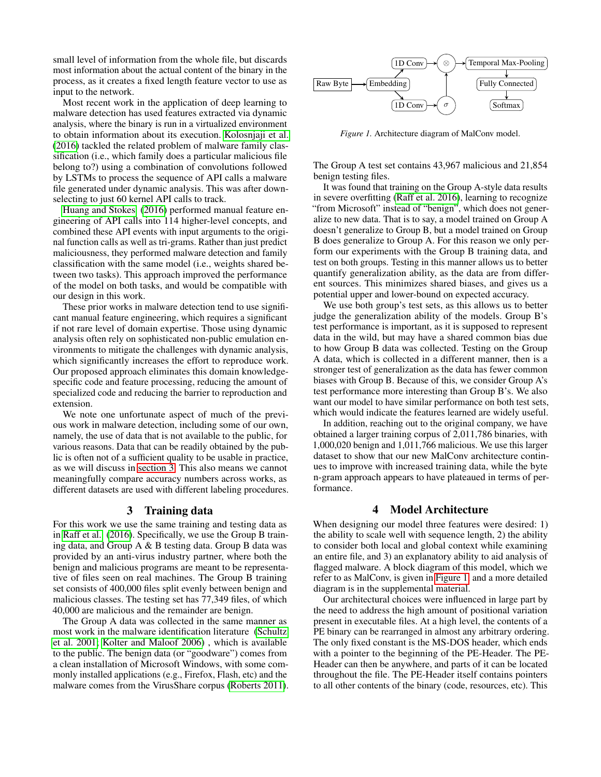small level of information from the whole file, but discards most information about the actual content of the binary in the process, as it creates a fixed length feature vector to use as input to the network.

Most recent work in the application of deep learning to malware detection has used features extracted via dynamic analysis, where the binary is run in a virtualized environment to obtain information about its execution. [Kolosnjaji et al.](#page-11-9) [\(2016\)](#page-11-9) tackled the related problem of malware family classification (i.e., which family does a particular malicious file belong to?) using a combination of convolutions followed by LSTMs to process the sequence of API calls a malware file generated under dynamic analysis. This was after downselecting to just 60 kernel API calls to track.

[Huang and Stokes](#page-11-10) [\(2016\)](#page-11-10) performed manual feature engineering of API calls into 114 higher-level concepts, and combined these API events with input arguments to the original function calls as well as tri-grams. Rather than just predict maliciousness, they performed malware detection and family classification with the same model (i.e., weights shared between two tasks). This approach improved the performance of the model on both tasks, and would be compatible with our design in this work.

These prior works in malware detection tend to use significant manual feature engineering, which requires a significant if not rare level of domain expertise. Those using dynamic analysis often rely on sophisticated non-public emulation environments to mitigate the challenges with dynamic analysis, which significantly increases the effort to reproduce work. Our proposed approach eliminates this domain knowledgespecific code and feature processing, reducing the amount of specialized code and reducing the barrier to reproduction and extension.

We note one unfortunate aspect of much of the previous work in malware detection, including some of our own, namely, the use of data that is not available to the public, for various reasons. Data that can be readily obtained by the public is often not of a sufficient quality to be usable in practice, as we will discuss in [section 3.](#page-2-0) This also means we cannot meaningfully compare accuracy numbers across works, as different datasets are used with different labeling procedures.

#### 3 Training data

<span id="page-2-0"></span>For this work we use the same training and testing data as in [Raff et al.](#page-12-10) [\(2016\)](#page-12-10). Specifically, we use the Group B training data, and Group A & B testing data. Group B data was provided by an anti-virus industry partner, where both the benign and malicious programs are meant to be representative of files seen on real machines. The Group B training set consists of 400,000 files split evenly between benign and malicious classes. The testing set has 77,349 files, of which 40,000 are malicious and the remainder are benign.

The Group A data was collected in the same manner as most work in the malware identification literature [\(Schultz](#page-12-11) et al. [2001;](#page-12-11) [Kolter and Maloof 2006\)](#page-11-11) , which is available to the public. The benign data (or "goodware") comes from a clean installation of Microsoft Windows, with some commonly installed applications (e.g., Firefox, Flash, etc) and the malware comes from the VirusShare corpus [\(Roberts 2011\)](#page-12-12).

<span id="page-2-1"></span>

*Figure 1.* Architecture diagram of MalConv model.

The Group A test set contains 43,967 malicious and 21,854 benign testing files.

It was found that training on the Group A-style data results in severe overfitting [\(Raff et al.](#page-12-10) 2016), learning to recognize "from Microsoft" instead of "benign", which does not generalize to new data. That is to say, a model trained on Group A doesn't generalize to Group B, but a model trained on Group B does generalize to Group A. For this reason we only perform our experiments with the Group B training data, and test on both groups. Testing in this manner allows us to better quantify generalization ability, as the data are from different sources. This minimizes shared biases, and gives us a potential upper and lower-bound on expected accuracy.

We use both group's test sets, as this allows us to better judge the generalization ability of the models. Group B's test performance is important, as it is supposed to represent data in the wild, but may have a shared common bias due to how Group B data was collected. Testing on the Group A data, which is collected in a different manner, then is a stronger test of generalization as the data has fewer common biases with Group B. Because of this, we consider Group A's test performance more interesting than Group B's. We also want our model to have similar performance on both test sets, which would indicate the features learned are widely useful.

In addition, reaching out to the original company, we have obtained a larger training corpus of 2,011,786 binaries, with 1,000,020 benign and 1,011,766 malicious. We use this larger dataset to show that our new MalConv architecture continues to improve with increased training data, while the byte n-gram approach appears to have plateaued in terms of performance.

#### 4 Model Architecture

When designing our model three features were desired: 1) the ability to scale well with sequence length, 2) the ability to consider both local and global context while examining an entire file, and 3) an explanatory ability to aid analysis of flagged malware. A block diagram of this model, which we refer to as MalConv, is given in [Figure 1,](#page-2-1) and a more detailed diagram is in the supplemental material.

Our architectural choices were influenced in large part by the need to address the high amount of positional variation present in executable files. At a high level, the contents of a PE binary can be rearranged in almost any arbitrary ordering. The only fixed constant is the MS-DOS header, which ends with a pointer to the beginning of the PE-Header. The PE-Header can then be anywhere, and parts of it can be located throughout the file. The PE-Header itself contains pointers to all other contents of the binary (code, resources, etc). This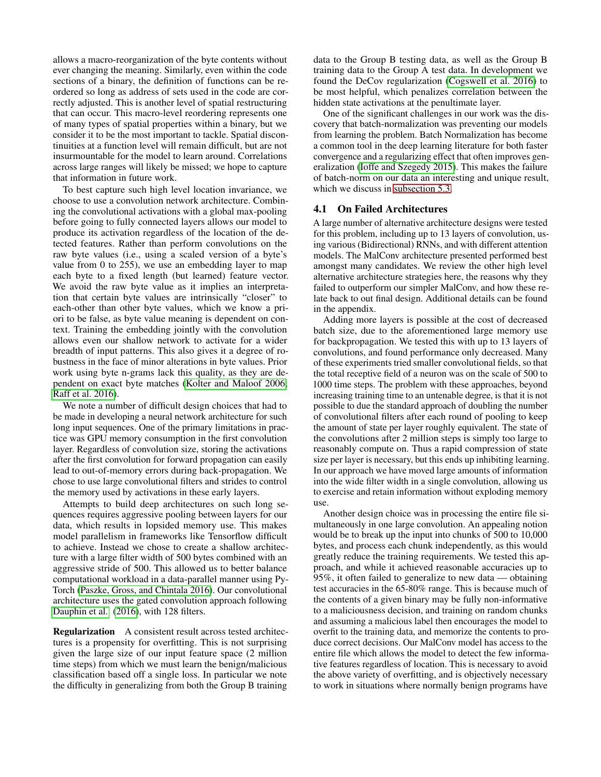allows a macro-reorganization of the byte contents without ever changing the meaning. Similarly, even within the code sections of a binary, the definition of functions can be reordered so long as address of sets used in the code are correctly adjusted. This is another level of spatial restructuring that can occur. This macro-level reordering represents one of many types of spatial properties within a binary, but we consider it to be the most important to tackle. Spatial discontinuities at a function level will remain difficult, but are not insurmountable for the model to learn around. Correlations across large ranges will likely be missed; we hope to capture that information in future work.

To best capture such high level location invariance, we choose to use a convolution network architecture. Combining the convolutional activations with a global max-pooling before going to fully connected layers allows our model to produce its activation regardless of the location of the detected features. Rather than perform convolutions on the raw byte values (i.e., using a scaled version of a byte's value from 0 to 255), we use an embedding layer to map each byte to a fixed length (but learned) feature vector. We avoid the raw byte value as it implies an interpretation that certain byte values are intrinsically "closer" to each-other than other byte values, which we know a priori to be false, as byte value meaning is dependent on context. Training the embedding jointly with the convolution allows even our shallow network to activate for a wider breadth of input patterns. This also gives it a degree of robustness in the face of minor alterations in byte values. Prior work using byte n-grams lack this quality, as they are dependent on exact byte matches [\(Kolter and Maloof 2006;](#page-11-11) [Raff et al. 2016\)](#page-12-10).

We note a number of difficult design choices that had to be made in developing a neural network architecture for such long input sequences. One of the primary limitations in practice was GPU memory consumption in the first convolution layer. Regardless of convolution size, storing the activations after the first convolution for forward propagation can easily lead to out-of-memory errors during back-propagation. We chose to use large convolutional filters and strides to control the memory used by activations in these early layers.

Attempts to build deep architectures on such long sequences requires aggressive pooling between layers for our data, which results in lopsided memory use. This makes model parallelism in frameworks like Tensorflow difficult to achieve. Instead we chose to create a shallow architecture with a large filter width of 500 bytes combined with an aggressive stride of 500. This allowed us to better balance computational workload in a data-parallel manner using Py-Torch [\(Paszke, Gross, and Chintala 2016\)](#page-12-13). Our convolutional architecture uses the gated convolution approach following [Dauphin et al.](#page-11-12) [\(2016\)](#page-11-12), with 128 filters.

Regularization A consistent result across tested architectures is a propensity for overfitting. This is not surprising given the large size of our input feature space (2 million time steps) from which we must learn the benign/malicious classification based off a single loss. In particular we note the difficulty in generalizing from both the Group B training

data to the Group B testing data, as well as the Group B training data to the Group A test data. In development we found the DeCov regularization [\(Cogswell et al.](#page-11-13) 2016) to be most helpful, which penalizes correlation between the hidden state activations at the penultimate layer.

One of the significant challenges in our work was the discovery that batch-normalization was preventing our models from learning the problem. Batch Normalization has become a common tool in the deep learning literature for both faster convergence and a regularizing effect that often improves generalization [\(Ioffe and Szegedy 2015\)](#page-11-14). This makes the failure of batch-norm on our data an interesting and unique result, which we discuss in [subsection 5.3.](#page-5-0)

### <span id="page-3-0"></span>4.1 On Failed Architectures

A large number of alternative architecture designs were tested for this problem, including up to 13 layers of convolution, using various (Bidirectional) RNNs, and with different attention models. The MalConv architecture presented performed best amongst many candidates. We review the other high level alternative architecture strategies here, the reasons why they failed to outperform our simpler MalConv, and how these relate back to out final design. Additional details can be found in the appendix.

Adding more layers is possible at the cost of decreased batch size, due to the aforementioned large memory use for backpropagation. We tested this with up to 13 layers of convolutions, and found performance only decreased. Many of these experiments tried smaller convolutional fields, so that the total receptive field of a neuron was on the scale of 500 to 1000 time steps. The problem with these approaches, beyond increasing training time to an untenable degree, is that it is not possible to due the standard approach of doubling the number of convolutional filters after each round of pooling to keep the amount of state per layer roughly equivalent. The state of the convolutions after 2 million steps is simply too large to reasonably compute on. Thus a rapid compression of state size per layer is necessary, but this ends up inhibiting learning. In our approach we have moved large amounts of information into the wide filter width in a single convolution, allowing us to exercise and retain information without exploding memory use.

Another design choice was in processing the entire file simultaneously in one large convolution. An appealing notion would be to break up the input into chunks of 500 to 10,000 bytes, and process each chunk independently, as this would greatly reduce the training requirements. We tested this approach, and while it achieved reasonable accuracies up to 95%, it often failed to generalize to new data — obtaining test accuracies in the 65-80% range. This is because much of the contents of a given binary may be fully non-informative to a maliciousness decision, and training on random chunks and assuming a malicious label then encourages the model to overfit to the training data, and memorize the contents to produce correct decisions. Our MalConv model has access to the entire file which allows the model to detect the few informative features regardless of location. This is necessary to avoid the above variety of overfitting, and is objectively necessary to work in situations where normally benign programs have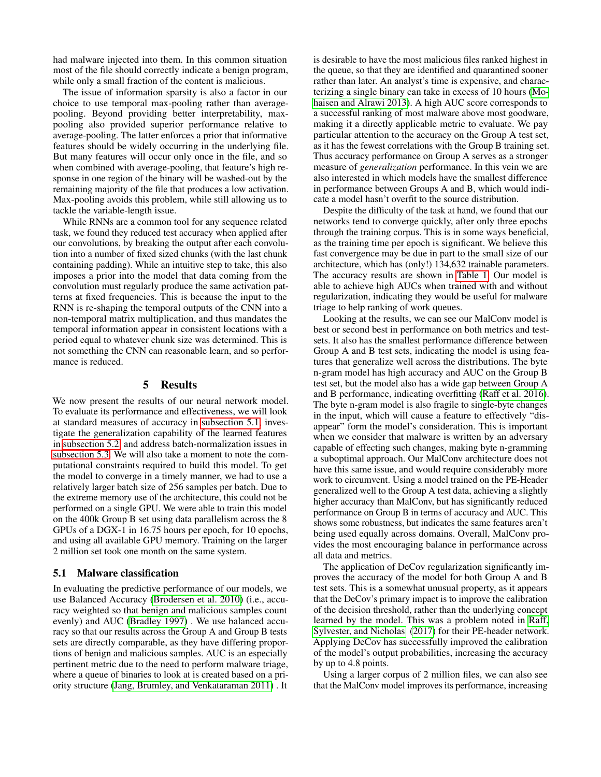had malware injected into them. In this common situation most of the file should correctly indicate a benign program, while only a small fraction of the content is malicious.

The issue of information sparsity is also a factor in our choice to use temporal max-pooling rather than averagepooling. Beyond providing better interpretability, maxpooling also provided superior performance relative to average-pooling. The latter enforces a prior that informative features should be widely occurring in the underlying file. But many features will occur only once in the file, and so when combined with average-pooling, that feature's high response in one region of the binary will be washed-out by the remaining majority of the file that produces a low activation. Max-pooling avoids this problem, while still allowing us to tackle the variable-length issue.

While RNNs are a common tool for any sequence related task, we found they reduced test accuracy when applied after our convolutions, by breaking the output after each convolution into a number of fixed sized chunks (with the last chunk containing padding). While an intuitive step to take, this also imposes a prior into the model that data coming from the convolution must regularly produce the same activation patterns at fixed frequencies. This is because the input to the RNN is re-shaping the temporal outputs of the CNN into a non-temporal matrix multiplication, and thus mandates the temporal information appear in consistent locations with a period equal to whatever chunk size was determined. This is not something the CNN can reasonable learn, and so performance is reduced.

#### 5 Results

We now present the results of our neural network model. To evaluate its performance and effectiveness, we will look at standard measures of accuracy in [subsection 5.1,](#page-4-0) investigate the generalization capability of the learned features in [subsection 5.2,](#page-5-1) and address batch-normalization issues in [subsection 5.3.](#page-5-0) We will also take a moment to note the computational constraints required to build this model. To get the model to converge in a timely manner, we had to use a relatively larger batch size of 256 samples per batch. Due to the extreme memory use of the architecture, this could not be performed on a single GPU. We were able to train this model on the 400k Group B set using data parallelism across the 8 GPUs of a DGX-1 in 16.75 hours per epoch, for 10 epochs, and using all available GPU memory. Training on the larger 2 million set took one month on the same system.

#### <span id="page-4-0"></span>5.1 Malware classification

In evaluating the predictive performance of our models, we use Balanced Accuracy [\(Brodersen et al.](#page-11-15) 2010) (i.e., accuracy weighted so that benign and malicious samples count evenly) and AUC [\(Bradley 1997\)](#page-11-16) . We use balanced accuracy so that our results across the Group A and Group B tests sets are directly comparable, as they have differing proportions of benign and malicious samples. AUC is an especially pertinent metric due to the need to perform malware triage, where a queue of binaries to look at is created based on a priority structure [\(Jang, Brumley, and Venkataraman 2011\)](#page-11-17) . It is desirable to have the most malicious files ranked highest in the queue, so that they are identified and quarantined sooner rather than later. An analyst's time is expensive, and characterizing a single binary can take in excess of 10 hours [\(Mo](#page-11-18)[haisen and Alrawi 2013\)](#page-11-18). A high AUC score corresponds to a successful ranking of most malware above most goodware, making it a directly applicable metric to evaluate. We pay particular attention to the accuracy on the Group A test set, as it has the fewest correlations with the Group B training set. Thus accuracy performance on Group A serves as a stronger measure of *generalization* performance. In this vein we are also interested in which models have the smallest difference in performance between Groups A and B, which would indicate a model hasn't overfit to the source distribution.

Despite the difficulty of the task at hand, we found that our networks tend to converge quickly, after only three epochs through the training corpus. This is in some ways beneficial, as the training time per epoch is significant. We believe this fast convergence may be due in part to the small size of our architecture, which has (only!) 134,632 trainable parameters. The accuracy results are shown in [Table 1.](#page-5-2) Our model is able to achieve high AUCs when trained with and without regularization, indicating they would be useful for malware triage to help ranking of work queues.

Looking at the results, we can see our MalConv model is best or second best in performance on both metrics and testsets. It also has the smallest performance difference between Group A and B test sets, indicating the model is using features that generalize well across the distributions. The byte n-gram model has high accuracy and AUC on the Group B test set, but the model also has a wide gap between Group A and B performance, indicating overfitting [\(Raff et al.](#page-12-10) 2016). The byte n-gram model is also fragile to single-byte changes in the input, which will cause a feature to effectively "disappear" form the model's consideration. This is important when we consider that malware is written by an adversary capable of effecting such changes, making byte n-gramming a suboptimal approach. Our MalConv architecture does not have this same issue, and would require considerably more work to circumvent. Using a model trained on the PE-Header generalized well to the Group A test data, achieving a slightly higher accuracy than MalConv, but has significantly reduced performance on Group B in terms of accuracy and AUC. This shows some robustness, but indicates the same features aren't being used equally across domains. Overall, MalConv provides the most encouraging balance in performance across all data and metrics.

The application of DeCov regularization significantly improves the accuracy of the model for both Group A and B test sets. This is a somewhat unusual property, as it appears that the DeCov's primary impact is to improve the calibration of the decision threshold, rather than the underlying concept learned by the model. This was a problem noted in [Raff,](#page-12-8) [Sylvester, and Nicholas](#page-12-8) [\(2017\)](#page-12-8) for their PE-header network. Applying DeCov has successfully improved the calibration of the model's output probabilities, increasing the accuracy by up to 4.8 points.

Using a larger corpus of 2 million files, we can also see that the MalConv model improves its performance, increasing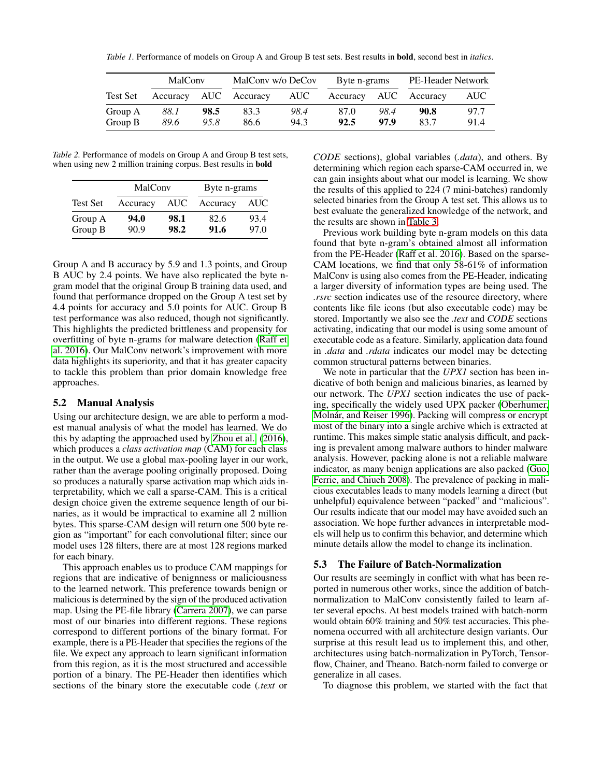<span id="page-5-2"></span>*Table 1.* Performance of models on Group A and Group B test sets. Best results in bold, second best in *italics*.

|                    | MalCony      |              | MalCony w/o DeCoy |              | Byte n-grams          |              | PE-Header Network |              |
|--------------------|--------------|--------------|-------------------|--------------|-----------------------|--------------|-------------------|--------------|
| <b>Test Set</b>    | Accuracy     |              | AUC Accuracy      | AUC          | Accuracy AUC Accuracy |              |                   | AUC-         |
| Group A<br>Group B | 88.1<br>89.6 | 98.5<br>95.8 | 83.3<br>86.6      | 98.4<br>94.3 | 87.0<br>92.5          | 98.4<br>97.9 | 90.8<br>83.7      | 97.7<br>91.4 |

*Table 2.* Performance of models on Group A and Group B test sets, when using new 2 million training corpus. Best results in **bold** 

|                    | MalConv      |              | Byte n-grams |              |  |  |
|--------------------|--------------|--------------|--------------|--------------|--|--|
| <b>Test Set</b>    | Accuracy     | <b>AUC</b>   | Accuracy     | <b>AUC</b>   |  |  |
| Group A<br>Group B | 94.0<br>90.9 | 98.1<br>98.2 | 82.6<br>91.6 | 93.4<br>97.0 |  |  |

Group A and B accuracy by 5.9 and 1.3 points, and Group B AUC by 2.4 points. We have also replicated the byte ngram model that the original Group B training data used, and found that performance dropped on the Group A test set by 4.4 points for accuracy and 5.0 points for AUC. Group B test performance was also reduced, though not significantly. This highlights the predicted brittleness and propensity for overfitting of byte n-grams for malware detection [\(Raff et](#page-12-10) al. [2016\)](#page-12-10). Our MalConv network's improvement with more data highlights its superiority, and that it has greater capacity to tackle this problem than prior domain knowledge free approaches.

### <span id="page-5-1"></span>5.2 Manual Analysis

Using our architecture design, we are able to perform a modest manual analysis of what the model has learned. We do this by adapting the approached used by [Zhou et al.](#page-12-14) [\(2016\)](#page-12-14), which produces a *class activation map* (CAM) for each class in the output. We use a global max-pooling layer in our work, rather than the average pooling originally proposed. Doing so produces a naturally sparse activation map which aids interpretability, which we call a sparse-CAM. This is a critical design choice given the extreme sequence length of our binaries, as it would be impractical to examine all 2 million bytes. This sparse-CAM design will return one 500 byte region as "important" for each convolutional filter; since our model uses 128 filters, there are at most 128 regions marked for each binary.

This approach enables us to produce CAM mappings for regions that are indicative of benignness or maliciousness to the learned network. This preference towards benign or malicious is determined by the sign of the produced activation map. Using the PE-file library [\(Carrera 2007\)](#page-11-19), we can parse most of our binaries into different regions. These regions correspond to different portions of the binary format. For example, there is a PE-Header that specifies the regions of the file. We expect any approach to learn significant information from this region, as it is the most structured and accessible portion of a binary. The PE-Header then identifies which sections of the binary store the executable code (*.text* or

*CODE* sections), global variables (*.data*), and others. By determining which region each sparse-CAM occurred in, we can gain insights about what our model is learning. We show the results of this applied to 224 (7 mini-batches) randomly selected binaries from the Group A test set. This allows us to best evaluate the generalized knowledge of the network, and the results are shown in [Table 3.](#page-6-0)

Previous work building byte n-gram models on this data found that byte n-gram's obtained almost all information from the PE-Header [\(Raff et al.](#page-12-10) 2016). Based on the sparse-CAM locations, we find that only 58-61% of information MalConv is using also comes from the PE-Header, indicating a larger diversity of information types are being used. The *.rsrc* section indicates use of the resource directory, where contents like file icons (but also executable code) may be stored. Importantly we also see the *.text* and *CODE* sections activating, indicating that our model is using some amount of executable code as a feature. Similarly, application data found in *.data* and *.rdata* indicates our model may be detecting common structural patterns between binaries.

We note in particular that the *UPX1* section has been indicative of both benign and malicious binaries, as learned by our network. The *UPX1* section indicates the use of packing, specifically the widely used UPX packer [\(Oberhumer,](#page-12-15) [Molnár, and Reiser 1996\)](#page-12-15). Packing will compress or encrypt most of the binary into a single archive which is extracted at runtime. This makes simple static analysis difficult, and packing is prevalent among malware authors to hinder malware analysis. However, packing alone is not a reliable malware indicator, as many benign applications are also packed [\(Guo,](#page-11-20) [Ferrie, and Chiueh 2008\)](#page-11-20). The prevalence of packing in malicious executables leads to many models learning a direct (but unhelpful) equivalence between "packed" and "malicious". Our results indicate that our model may have avoided such an association. We hope further advances in interpretable models will help us to confirm this behavior, and determine which minute details allow the model to change its inclination.

#### <span id="page-5-0"></span>5.3 The Failure of Batch-Normalization

Our results are seemingly in conflict with what has been reported in numerous other works, since the addition of batchnormalization to MalConv consistently failed to learn after several epochs. At best models trained with batch-norm would obtain 60% training and 50% test accuracies. This phenomena occurred with all architecture design variants. Our surprise at this result lead us to implement this, and other, architectures using batch-normalization in PyTorch, Tensorflow, Chainer, and Theano. Batch-norm failed to converge or generalize in all cases.

To diagnose this problem, we started with the fact that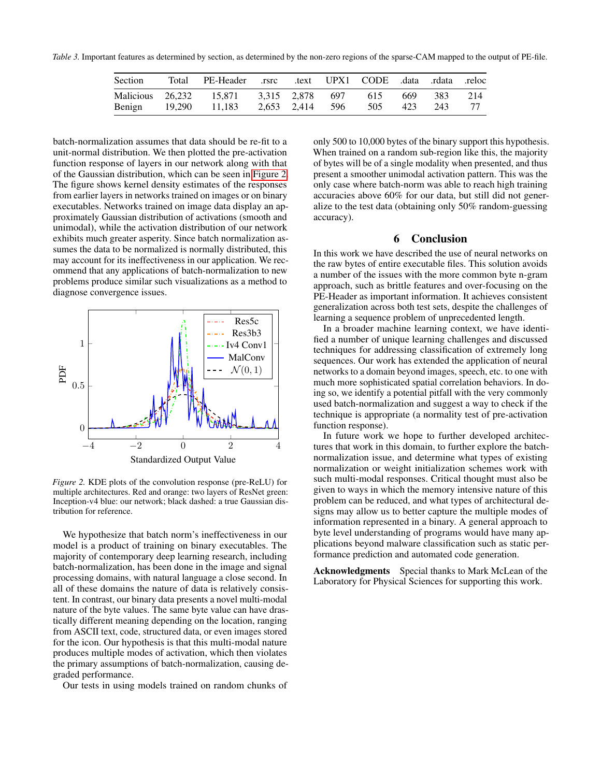<span id="page-6-0"></span>*Table 3.* Important features as determined by section, as determined by the non-zero regions of the sparse-CAM mapped to the output of PE-file.

| Section | Total  | PE-Header .rsrc                   |                 |                 | reloc (data .rdata .reloc). text UPX1 CODE. |            |            |           |
|---------|--------|-----------------------------------|-----------------|-----------------|---------------------------------------------|------------|------------|-----------|
|         | 19.290 | Malicious 26,232 15,871<br>11.183 | 3,315 2,878 697 | 2,653 2,414 596 | 615<br>505                                  | 669<br>423 | 383<br>243 | 214<br>77 |
| Benign  |        |                                   |                 |                 |                                             |            |            |           |

batch-normalization assumes that data should be re-fit to a unit-normal distribution. We then plotted the pre-activation function response of layers in our network along with that of the Gaussian distribution, which can be seen in [Figure 2.](#page-6-1) The figure shows kernel density estimates of the responses from earlier layers in networks trained on images or on binary executables. Networks trained on image data display an approximately Gaussian distribution of activations (smooth and unimodal), while the activation distribution of our network exhibits much greater asperity. Since batch normalization assumes the data to be normalized is normally distributed, this may account for its ineffectiveness in our application. We recommend that any applications of batch-normalization to new problems produce similar such visualizations as a method to diagnose convergence issues.

<span id="page-6-1"></span>

*Figure 2.* KDE plots of the convolution response (pre-ReLU) for multiple architectures. Red and orange: two layers of ResNet green: Inception-v4 blue: our network; black dashed: a true Gaussian distribution for reference.

We hypothesize that batch norm's ineffectiveness in our model is a product of training on binary executables. The majority of contemporary deep learning research, including batch-normalization, has been done in the image and signal processing domains, with natural language a close second. In all of these domains the nature of data is relatively consistent. In contrast, our binary data presents a novel multi-modal nature of the byte values. The same byte value can have drastically different meaning depending on the location, ranging from ASCII text, code, structured data, or even images stored for the icon. Our hypothesis is that this multi-modal nature produces multiple modes of activation, which then violates the primary assumptions of batch-normalization, causing degraded performance.

Our tests in using models trained on random chunks of

only 500 to 10,000 bytes of the binary support this hypothesis. When trained on a random sub-region like this, the majority of bytes will be of a single modality when presented, and thus present a smoother unimodal activation pattern. This was the only case where batch-norm was able to reach high training accuracies above 60% for our data, but still did not generalize to the test data (obtaining only 50% random-guessing accuracy).

### **Conclusion**

In this work we have described the use of neural networks on the raw bytes of entire executable files. This solution avoids a number of the issues with the more common byte n-gram approach, such as brittle features and over-focusing on the PE-Header as important information. It achieves consistent generalization across both test sets, despite the challenges of learning a sequence problem of unprecedented length.

In a broader machine learning context, we have identified a number of unique learning challenges and discussed techniques for addressing classification of extremely long sequences. Our work has extended the application of neural networks to a domain beyond images, speech, etc. to one with much more sophisticated spatial correlation behaviors. In doing so, we identify a potential pitfall with the very commonly used batch-normalization and suggest a way to check if the technique is appropriate (a normality test of pre-activation function response).

In future work we hope to further developed architectures that work in this domain, to further explore the batchnormalization issue, and determine what types of existing normalization or weight initialization schemes work with such multi-modal responses. Critical thought must also be given to ways in which the memory intensive nature of this problem can be reduced, and what types of architectural designs may allow us to better capture the multiple modes of information represented in a binary. A general approach to byte level understanding of programs would have many applications beyond malware classification such as static performance prediction and automated code generation.

Acknowledgments Special thanks to Mark McLean of the Laboratory for Physical Sciences for supporting this work.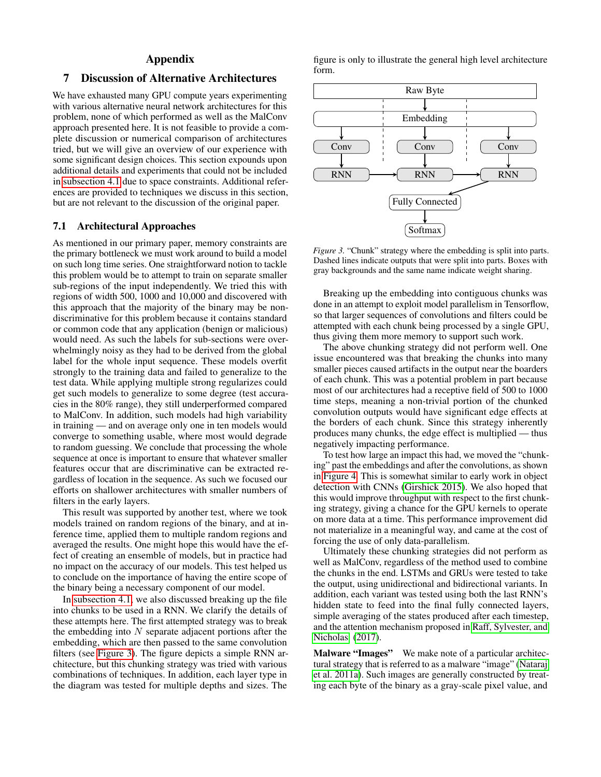## Appendix

## 7 Discussion of Alternative Architectures

We have exhausted many GPU compute years experimenting with various alternative neural network architectures for this problem, none of which performed as well as the MalConv approach presented here. It is not feasible to provide a complete discussion or numerical comparison of architectures tried, but we will give an overview of our experience with some significant design choices. This section expounds upon additional details and experiments that could not be included in [subsection 4.1](#page-3-0) due to space constraints. Additional references are provided to techniques we discuss in this section, but are not relevant to the discussion of the original paper.

### 7.1 Architectural Approaches

As mentioned in our primary paper, memory constraints are the primary bottleneck we must work around to build a model on such long time series. One straightforward notion to tackle this problem would be to attempt to train on separate smaller sub-regions of the input independently. We tried this with regions of width 500, 1000 and 10,000 and discovered with this approach that the majority of the binary may be nondiscriminative for this problem because it contains standard or common code that any application (benign or malicious) would need. As such the labels for sub-sections were overwhelmingly noisy as they had to be derived from the global label for the whole input sequence. These models overfit strongly to the training data and failed to generalize to the test data. While applying multiple strong regularizes could get such models to generalize to some degree (test accuracies in the 80% range), they still underperformed compared to MalConv. In addition, such models had high variability in training — and on average only one in ten models would converge to something usable, where most would degrade to random guessing. We conclude that processing the whole sequence at once is important to ensure that whatever smaller features occur that are discriminative can be extracted regardless of location in the sequence. As such we focused our efforts on shallower architectures with smaller numbers of filters in the early layers.

This result was supported by another test, where we took models trained on random regions of the binary, and at inference time, applied them to multiple random regions and averaged the results. One might hope this would have the effect of creating an ensemble of models, but in practice had no impact on the accuracy of our models. This test helped us to conclude on the importance of having the entire scope of the binary being a necessary component of our model.

In [subsection 4.1,](#page-3-0) we also discussed breaking up the file into chunks to be used in a RNN. We clarify the details of these attempts here. The first attempted strategy was to break the embedding into  $N$  separate adjacent portions after the embedding, which are then passed to the same convolution filters (see [Figure 3\)](#page-7-0). The figure depicts a simple RNN architecture, but this chunking strategy was tried with various combinations of techniques. In addition, each layer type in the diagram was tested for multiple depths and sizes. The

figure is only to illustrate the general high level architecture form.

<span id="page-7-0"></span>

*Figure 3.* "Chunk" strategy where the embedding is split into parts. Dashed lines indicate outputs that were split into parts. Boxes with gray backgrounds and the same name indicate weight sharing.

Breaking up the embedding into contiguous chunks was done in an attempt to exploit model parallelism in Tensorflow, so that larger sequences of convolutions and filters could be attempted with each chunk being processed by a single GPU, thus giving them more memory to support such work.

The above chunking strategy did not perform well. One issue encountered was that breaking the chunks into many smaller pieces caused artifacts in the output near the boarders of each chunk. This was a potential problem in part because most of our architectures had a receptive field of 500 to 1000 time steps, meaning a non-trivial portion of the chunked convolution outputs would have significant edge effects at the borders of each chunk. Since this strategy inherently produces many chunks, the edge effect is multiplied — thus negatively impacting performance.

To test how large an impact this had, we moved the "chunking" past the embeddings and after the convolutions, as shown in [Figure 4.](#page-8-0) This is somewhat similar to early work in object detection with CNNs [\(Girshick 2015\)](#page-11-21). We also hoped that this would improve throughput with respect to the first chunking strategy, giving a chance for the GPU kernels to operate on more data at a time. This performance improvement did not materialize in a meaningful way, and came at the cost of forcing the use of only data-parallelism.

Ultimately these chunking strategies did not perform as well as MalConv, regardless of the method used to combine the chunks in the end. LSTMs and GRUs were tested to take the output, using unidirectional and bidirectional variants. In addition, each variant was tested using both the last RNN's hidden state to feed into the final fully connected layers, simple averaging of the states produced after each timestep, and the attention mechanism proposed in [Raff, Sylvester, and](#page-12-8) [Nicholas](#page-12-8) [\(2017\)](#page-12-8).

Malware "Images" We make note of a particular architectural strategy that is referred to as a malware "image" [\(Nataraj](#page-11-22) et al. [2011a\)](#page-11-22). Such images are generally constructed by treating each byte of the binary as a gray-scale pixel value, and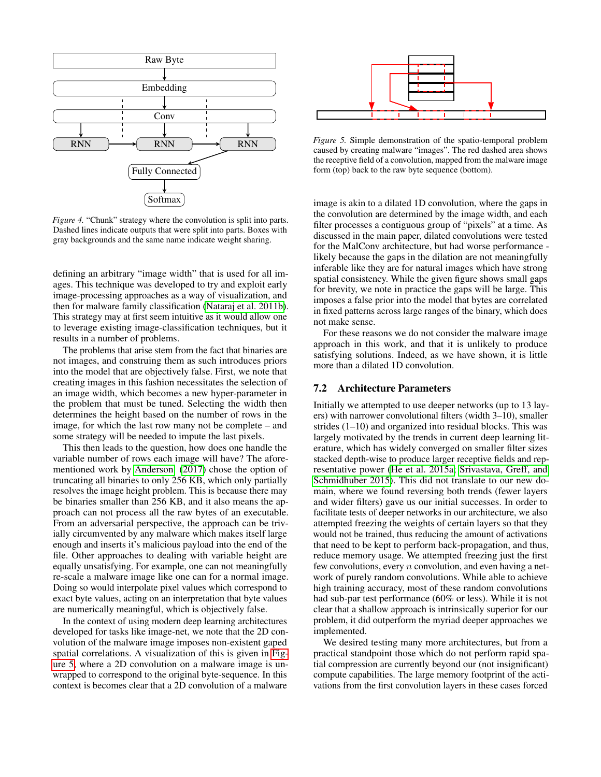<span id="page-8-0"></span>

*Figure 4.* "Chunk" strategy where the convolution is split into parts. Dashed lines indicate outputs that were split into parts. Boxes with gray backgrounds and the same name indicate weight sharing.

defining an arbitrary "image width" that is used for all images. This technique was developed to try and exploit early image-processing approaches as a way of visualization, and then for malware family classification [\(Nataraj et al.](#page-11-23) 2011b). This strategy may at first seem intuitive as it would allow one to leverage existing image-classification techniques, but it results in a number of problems.

The problems that arise stem from the fact that binaries are not images, and construing them as such introduces priors into the model that are objectively false. First, we note that creating images in this fashion necessitates the selection of an image width, which becomes a new hyper-parameter in the problem that must be tuned. Selecting the width then determines the height based on the number of rows in the image, for which the last row many not be complete – and some strategy will be needed to impute the last pixels.

This then leads to the question, how does one handle the variable number of rows each image will have? The aforementioned work by [Anderson](#page-11-5) [\(2017\)](#page-11-5) chose the option of truncating all binaries to only 256 KB, which only partially resolves the image height problem. This is because there may be binaries smaller than 256 KB, and it also means the approach can not process all the raw bytes of an executable. From an adversarial perspective, the approach can be trivially circumvented by any malware which makes itself large enough and inserts it's malicious payload into the end of the file. Other approaches to dealing with variable height are equally unsatisfying. For example, one can not meaningfully re-scale a malware image like one can for a normal image. Doing so would interpolate pixel values which correspond to exact byte values, acting on an interpretation that byte values are numerically meaningful, which is objectively false.

In the context of using modern deep learning architectures developed for tasks like image-net, we note that the 2D convolution of the malware image imposes non-existent gaped spatial correlations. A visualization of this is given in [Fig](#page-8-1)[ure 5,](#page-8-1) where a 2D convolution on a malware image is unwrapped to correspond to the original byte-sequence. In this context is becomes clear that a 2D convolution of a malware

<span id="page-8-1"></span>

*Figure 5.* Simple demonstration of the spatio-temporal problem caused by creating malware "images". The red dashed area shows the receptive field of a convolution, mapped from the malware image form (top) back to the raw byte sequence (bottom).

image is akin to a dilated 1D convolution, where the gaps in the convolution are determined by the image width, and each filter processes a contiguous group of "pixels" at a time. As discussed in the main paper, dilated convolutions were tested for the MalConv architecture, but had worse performance likely because the gaps in the dilation are not meaningfully inferable like they are for natural images which have strong spatial consistency. While the given figure shows small gaps for brevity, we note in practice the gaps will be large. This imposes a false prior into the model that bytes are correlated in fixed patterns across large ranges of the binary, which does not make sense.

For these reasons we do not consider the malware image approach in this work, and that it is unlikely to produce satisfying solutions. Indeed, as we have shown, it is little more than a dilated 1D convolution.

### 7.2 Architecture Parameters

Initially we attempted to use deeper networks (up to 13 layers) with narrower convolutional filters (width 3–10), smaller strides (1–10) and organized into residual blocks. This was largely motivated by the trends in current deep learning literature, which has widely converged on smaller filter sizes stacked depth-wise to produce larger receptive fields and representative power [\(He et al.](#page-11-24) 2015a; [Srivastava, Greff, and](#page-12-16) [Schmidhuber 2015\)](#page-12-16). This did not translate to our new domain, where we found reversing both trends (fewer layers and wider filters) gave us our initial successes. In order to facilitate tests of deeper networks in our architecture, we also attempted freezing the weights of certain layers so that they would not be trained, thus reducing the amount of activations that need to be kept to perform back-propagation, and thus, reduce memory usage. We attempted freezing just the first few convolutions, every  $n$  convolution, and even having a network of purely random convolutions. While able to achieve high training accuracy, most of these random convolutions had sub-par test performance (60% or less). While it is not clear that a shallow approach is intrinsically superior for our problem, it did outperform the myriad deeper approaches we implemented.

We desired testing many more architectures, but from a practical standpoint those which do not perform rapid spatial compression are currently beyond our (not insignificant) compute capabilities. The large memory footprint of the activations from the first convolution layers in these cases forced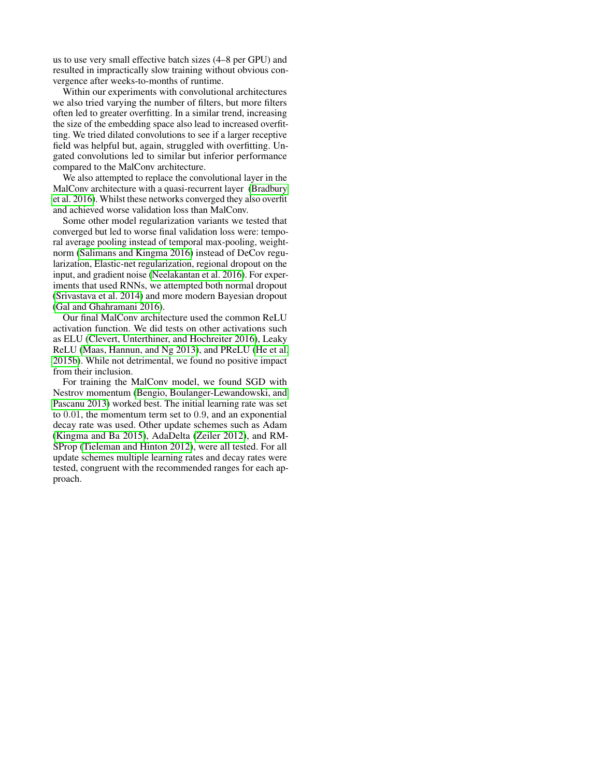us to use very small effective batch sizes (4–8 per GPU) and resulted in impractically slow training without obvious convergence after weeks-to-months of runtime.

Within our experiments with convolutional architectures we also tried varying the number of filters, but more filters often led to greater overfitting. In a similar trend, increasing the size of the embedding space also lead to increased overfitting. We tried dilated convolutions to see if a larger receptive field was helpful but, again, struggled with overfitting. Ungated convolutions led to similar but inferior performance compared to the MalConv architecture.

We also attempted to replace the convolutional layer in the MalConv architecture with a quasi-recurrent layer [\(Bradbury](#page-11-25) et al. [2016\)](#page-11-25). Whilst these networks converged they also overfit and achieved worse validation loss than MalConv.

Some other model regularization variants we tested that converged but led to worse final validation loss were: temporal average pooling instead of temporal max-pooling, weightnorm [\(Salimans and Kingma 2016\)](#page-12-17) instead of DeCov regularization, Elastic-net regularization, regional dropout on the input, and gradient noise [\(Neelakantan et al.](#page-12-18) 2016). For experiments that used RNNs, we attempted both normal dropout [\(Srivastava et al.](#page-12-19) 2014) and more modern Bayesian dropout [\(Gal and Ghahramani 2016\)](#page-11-26).

Our final MalConv architecture used the common ReLU activation function. We did tests on other activations such as ELU [\(Clevert, Unterthiner, and Hochreiter 2016\)](#page-11-27), Leaky ReLU [\(Maas, Hannun, and Ng 2013\)](#page-11-28), and PReLU [\(He et al.](#page-11-29) [2015b\)](#page-11-29). While not detrimental, we found no positive impact from their inclusion.

For training the MalConv model, we found SGD with Nestrov momentum [\(Bengio, Boulanger-Lewandowski, and](#page-11-30) [Pascanu 2013\)](#page-11-30) worked best. The initial learning rate was set to 0.01, the momentum term set to 0.9, and an exponential decay rate was used. Other update schemes such as Adam [\(Kingma and Ba 2015\)](#page-11-31), AdaDelta [\(Zeiler 2012\)](#page-12-20), and RM-SProp [\(Tieleman and Hinton 2012\)](#page-12-21), were all tested. For all update schemes multiple learning rates and decay rates were tested, congruent with the recommended ranges for each approach.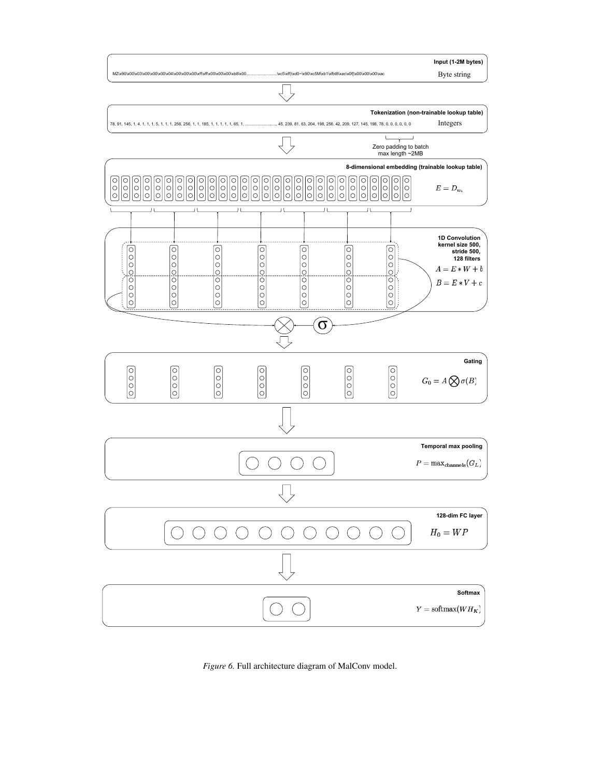

*Figure 6.* Full architecture diagram of MalConv model.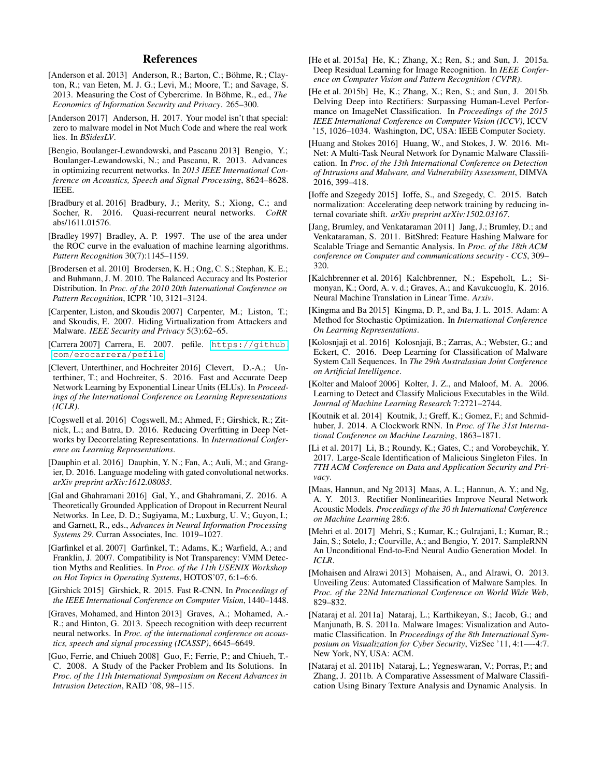#### References

- <span id="page-11-0"></span>[Anderson et al. 2013] Anderson, R.; Barton, C.; Böhme, R.; Clayton, R.; van Eeten, M. J. G.; Levi, M.; Moore, T.; and Savage, S. 2013. Measuring the Cost of Cybercrime. In Böhme, R., ed., *The Economics of Information Security and Privacy*. 265–300.
- <span id="page-11-5"></span>[Anderson 2017] Anderson, H. 2017. Your model isn't that special: zero to malware model in Not Much Code and where the real work lies. In *BSidesLV*.
- <span id="page-11-30"></span>[Bengio, Boulanger-Lewandowski, and Pascanu 2013] Bengio, Y.; Boulanger-Lewandowski, N.; and Pascanu, R. 2013. Advances in optimizing recurrent networks. In *2013 IEEE International Conference on Acoustics, Speech and Signal Processing*, 8624–8628. IEEE.
- <span id="page-11-25"></span>[Bradbury et al. 2016] Bradbury, J.; Merity, S.; Xiong, C.; and Socher, R. 2016. Quasi-recurrent neural networks. *CoRR* abs/1611.01576.
- <span id="page-11-16"></span>[Bradley 1997] Bradley, A. P. 1997. The use of the area under the ROC curve in the evaluation of machine learning algorithms. *Pattern Recognition* 30(7):1145–1159.
- <span id="page-11-15"></span>[Brodersen et al. 2010] Brodersen, K. H.; Ong, C. S.; Stephan, K. E.; and Buhmann, J. M. 2010. The Balanced Accuracy and Its Posterior Distribution. In *Proc. of the 2010 20th International Conference on Pattern Recognition*, ICPR '10, 3121–3124.
- <span id="page-11-3"></span>[Carpenter, Liston, and Skoudis 2007] Carpenter, M.; Liston, T.; and Skoudis, E. 2007. Hiding Virtualization from Attackers and Malware. *IEEE Security and Privacy* 5(3):62–65.
- <span id="page-11-19"></span>[Carrera 2007] Carrera, E. 2007. pefile. [https://github.](https://github.com/erocarrera/pefile) [com/erocarrera/pefile](https://github.com/erocarrera/pefile).
- <span id="page-11-27"></span>[Clevert, Unterthiner, and Hochreiter 2016] Clevert, D.-A.; Unterthiner, T.; and Hochreiter, S. 2016. Fast and Accurate Deep Network Learning by Exponential Linear Units (ELUs). In *Proceedings of the International Conference on Learning Representations (ICLR)*.
- <span id="page-11-13"></span>[Cogswell et al. 2016] Cogswell, M.; Ahmed, F.; Girshick, R.; Zitnick, L.; and Batra, D. 2016. Reducing Overfitting in Deep Networks by Decorrelating Representations. In *International Conference on Learning Representations*.
- <span id="page-11-12"></span>[Dauphin et al. 2016] Dauphin, Y. N.; Fan, A.; Auli, M.; and Grangier, D. 2016. Language modeling with gated convolutional networks. *arXiv preprint arXiv:1612.08083*.
- <span id="page-11-26"></span>[Gal and Ghahramani 2016] Gal, Y., and Ghahramani, Z. 2016. A Theoretically Grounded Application of Dropout in Recurrent Neural Networks. In Lee, D. D.; Sugiyama, M.; Luxburg, U. V.; Guyon, I.; and Garnett, R., eds., *Advances in Neural Information Processing Systems 29*. Curran Associates, Inc. 1019–1027.
- <span id="page-11-2"></span>[Garfinkel et al. 2007] Garfinkel, T.; Adams, K.; Warfield, A.; and Franklin, J. 2007. Compatibility is Not Transparency: VMM Detection Myths and Realities. In *Proc. of the 11th USENIX Workshop on Hot Topics in Operating Systems*, HOTOS'07, 6:1–6:6.
- <span id="page-11-21"></span>[Girshick 2015] Girshick, R. 2015. Fast R-CNN. In *Proceedings of the IEEE International Conference on Computer Vision*, 1440–1448.
- <span id="page-11-4"></span>[Graves, Mohamed, and Hinton 2013] Graves, A.; Mohamed, A.- R.; and Hinton, G. 2013. Speech recognition with deep recurrent neural networks. In *Proc. of the international conference on acoustics, speech and signal processing (ICASSP)*, 6645–6649.
- <span id="page-11-20"></span>[Guo, Ferrie, and Chiueh 2008] Guo, F.; Ferrie, P.; and Chiueh, T.- C. 2008. A Study of the Packer Problem and Its Solutions. In *Proc. of the 11th International Symposium on Recent Advances in Intrusion Detection*, RAID '08, 98–115.
- <span id="page-11-24"></span>[He et al. 2015a] He, K.; Zhang, X.; Ren, S.; and Sun, J. 2015a. Deep Residual Learning for Image Recognition. In *IEEE Conference on Computer Vision and Pattern Recognition (CVPR)*.
- <span id="page-11-29"></span>[He et al. 2015b] He, K.; Zhang, X.; Ren, S.; and Sun, J. 2015b. Delving Deep into Rectifiers: Surpassing Human-Level Performance on ImageNet Classification. In *Proceedings of the 2015 IEEE International Conference on Computer Vision (ICCV)*, ICCV '15, 1026–1034. Washington, DC, USA: IEEE Computer Society.
- <span id="page-11-10"></span>[Huang and Stokes 2016] Huang, W., and Stokes, J. W. 2016. Mt-Net: A Multi-Task Neural Network for Dynamic Malware Classification. In *Proc. of the 13th International Conference on Detection of Intrusions and Malware, and Vulnerability Assessment*, DIMVA 2016, 399–418.
- <span id="page-11-14"></span>[Ioffe and Szegedy 2015] Ioffe, S., and Szegedy, C. 2015. Batch normalization: Accelerating deep network training by reducing internal covariate shift. *arXiv preprint arXiv:1502.03167*.
- <span id="page-11-17"></span>[Jang, Brumley, and Venkataraman 2011] Jang, J.; Brumley, D.; and Venkataraman, S. 2011. BitShred: Feature Hashing Malware for Scalable Triage and Semantic Analysis. In *Proc. of the 18th ACM conference on Computer and communications security - CCS*, 309– 320.
- <span id="page-11-6"></span>[Kalchbrenner et al. 2016] Kalchbrenner, N.; Espeholt, L.; Simonyan, K.; Oord, A. v. d.; Graves, A.; and Kavukcuoglu, K. 2016. Neural Machine Translation in Linear Time. *Arxiv*.
- <span id="page-11-31"></span>[Kingma and Ba 2015] Kingma, D. P., and Ba, J. L. 2015. Adam: A Method for Stochastic Optimization. In *International Conference On Learning Representations*.
- <span id="page-11-9"></span>[Kolosnjaji et al. 2016] Kolosnjaji, B.; Zarras, A.; Webster, G.; and Eckert, C. 2016. Deep Learning for Classification of Malware System Call Sequences. In *The 29th Australasian Joint Conference on Artificial Intelligence*.
- <span id="page-11-11"></span>[Kolter and Maloof 2006] Kolter, J. Z., and Maloof, M. A. 2006. Learning to Detect and Classify Malicious Executables in the Wild. *Journal of Machine Learning Research* 7:2721–2744.
- <span id="page-11-8"></span>[Koutnik et al. 2014] Koutnik, J.; Greff, K.; Gomez, F.; and Schmidhuber, J. 2014. A Clockwork RNN. In *Proc. of The 31st International Conference on Machine Learning*, 1863–1871.
- <span id="page-11-1"></span>[Li et al. 2017] Li, B.; Roundy, K.; Gates, C.; and Vorobeychik, Y. 2017. Large-Scale Identification of Malicious Singleton Files. In *7TH ACM Conference on Data and Application Security and Privacy*.
- <span id="page-11-28"></span>[Maas, Hannun, and Ng 2013] Maas, A. L.; Hannun, A. Y.; and Ng, A. Y. 2013. Rectifier Nonlinearities Improve Neural Network Acoustic Models. *Proceedings of the 30 th International Conference on Machine Learning* 28:6.
- <span id="page-11-7"></span>[Mehri et al. 2017] Mehri, S.; Kumar, K.; Gulrajani, I.; Kumar, R.; Jain, S.; Sotelo, J.; Courville, A.; and Bengio, Y. 2017. SampleRNN An Unconditional End-to-End Neural Audio Generation Model. In *ICLR*.
- <span id="page-11-18"></span>[Mohaisen and Alrawi 2013] Mohaisen, A., and Alrawi, O. 2013. Unveiling Zeus: Automated Classification of Malware Samples. In *Proc. of the 22Nd International Conference on World Wide Web*, 829–832.
- <span id="page-11-22"></span>[Nataraj et al. 2011a] Nataraj, L.; Karthikeyan, S.; Jacob, G.; and Manjunath, B. S. 2011a. Malware Images: Visualization and Automatic Classification. In *Proceedings of the 8th International Symposium on Visualization for Cyber Security*, VizSec '11, 4:1—-4:7. New York, NY, USA: ACM.
- <span id="page-11-23"></span>[Nataraj et al. 2011b] Nataraj, L.; Yegneswaran, V.; Porras, P.; and Zhang, J. 2011b. A Comparative Assessment of Malware Classification Using Binary Texture Analysis and Dynamic Analysis. In